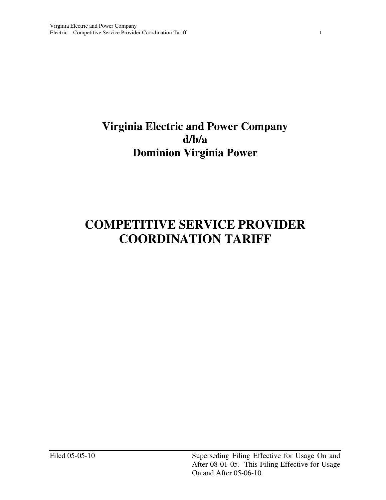# **Virginia Electric and Power Company Dominion Virginia Power d/b/a**

# **COMPETITIVE SERVICE PROVIDER COORDINATION TARIFF**

Filed 05-05-10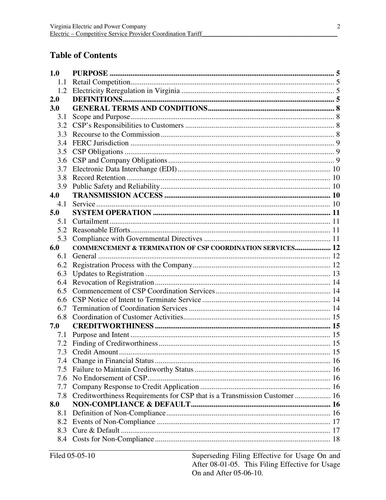# **Table of Contents**

| 1.0 |                                                                           |  |
|-----|---------------------------------------------------------------------------|--|
| 1.1 |                                                                           |  |
| 1.2 |                                                                           |  |
| 2.0 |                                                                           |  |
| 3.0 |                                                                           |  |
| 3.1 |                                                                           |  |
| 3.2 |                                                                           |  |
| 3.3 |                                                                           |  |
| 3.4 |                                                                           |  |
| 3.5 |                                                                           |  |
| 3.6 |                                                                           |  |
| 3.7 |                                                                           |  |
| 3.8 |                                                                           |  |
| 3.9 |                                                                           |  |
| 4.0 |                                                                           |  |
| 4.1 |                                                                           |  |
| 5.0 |                                                                           |  |
| 5.1 |                                                                           |  |
| 5.2 |                                                                           |  |
| 5.3 |                                                                           |  |
| 6.0 | <b>COMMENCEMENT &amp; TERMINATION OF CSP COORDINATION SERVICES 12</b>     |  |
| 6.1 |                                                                           |  |
| 6.2 |                                                                           |  |
| 6.3 |                                                                           |  |
| 6.4 |                                                                           |  |
| 6.5 |                                                                           |  |
| 6.6 |                                                                           |  |
| 6.7 |                                                                           |  |
| 6.8 |                                                                           |  |
| 7.0 |                                                                           |  |
| 7.1 |                                                                           |  |
| 7.2 |                                                                           |  |
|     |                                                                           |  |
| 7.4 |                                                                           |  |
| 7.5 |                                                                           |  |
| 7.6 |                                                                           |  |
| 7.7 |                                                                           |  |
| 7.8 | Creditworthiness Requirements for CSP that is a Transmission Customer  16 |  |
| 8.0 |                                                                           |  |
| 8.1 |                                                                           |  |
| 8.2 |                                                                           |  |
| 8.3 |                                                                           |  |
| 8.4 |                                                                           |  |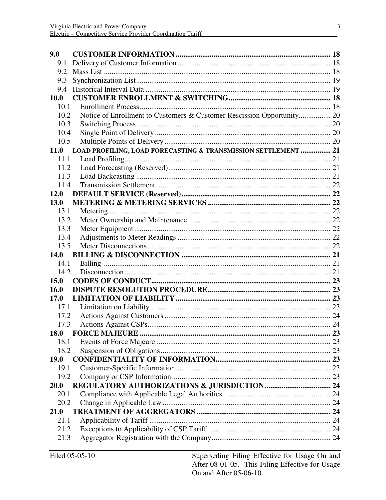| 9.0         |                                                                        |  |
|-------------|------------------------------------------------------------------------|--|
| 9.1         |                                                                        |  |
| 9.2         |                                                                        |  |
| 9.3         |                                                                        |  |
| 9.4         |                                                                        |  |
| <b>10.0</b> |                                                                        |  |
| 10.1        |                                                                        |  |
| 10.2        | Notice of Enrollment to Customers & Customer Rescission Opportunity 20 |  |
| 10.3        |                                                                        |  |
| 10.4        |                                                                        |  |
| 10.5        |                                                                        |  |
| <b>11.0</b> | LOAD PROFILING, LOAD FORECASTING & TRANSMISSION SETTLEMENT  21         |  |
| 11.1        |                                                                        |  |
| 11.2        |                                                                        |  |
| 11.3        |                                                                        |  |
| 11.4        |                                                                        |  |
| 12.0        |                                                                        |  |
| 13.0        |                                                                        |  |
| 13.1        |                                                                        |  |
| 13.2        |                                                                        |  |
| 13.3        |                                                                        |  |
| 13.4        |                                                                        |  |
| 13.5        |                                                                        |  |
| 14.0        |                                                                        |  |
| 14.1        |                                                                        |  |
| 14.2        |                                                                        |  |
| 15.0        |                                                                        |  |
| 16.0        |                                                                        |  |
| 17.0        |                                                                        |  |
| 17.1        |                                                                        |  |
| 17.2        |                                                                        |  |
| 17.3        |                                                                        |  |
| 18.0        |                                                                        |  |
| 18.1        |                                                                        |  |
| 18.2        |                                                                        |  |
| <b>19.0</b> |                                                                        |  |
| 19.1        |                                                                        |  |
| 19.2        |                                                                        |  |
| 20.0        |                                                                        |  |
| 20.1        |                                                                        |  |
| 20.2        |                                                                        |  |
| 21.0        |                                                                        |  |
| 21.1        |                                                                        |  |
| 21.2        |                                                                        |  |
| 21.3        |                                                                        |  |
|             |                                                                        |  |

Superseding Filing Effective for Usage On and After 08-01-05. This Filing Effective for Usage On and After 05-06-10.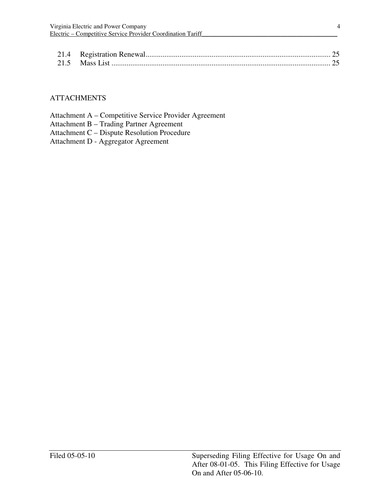### **ATTACHMENTS**

| Attachment A – Competitive Service Provider Agreement |
|-------------------------------------------------------|
| Attachment B – Trading Partner Agreement              |
| Attachment C – Dispute Resolution Procedure           |

Attachment D - Aggregator Agreement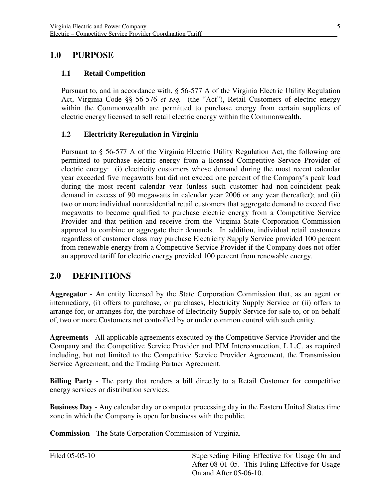# **1.0 PURPOSE**

#### **1.1 Retail Competition**

 Pursuant to, and in accordance with, § 56-577 A of the Virginia Electric Utility Regulation Act, Virginia Code §§ 56-576 *et seq.* (the "Act"), Retail Customers of electric energy within the Commonwealth are permitted to purchase energy from certain suppliers of electric energy licensed to sell retail electric energy within the Commonwealth.

#### **1.2 Electricity Reregulation in Virginia**

 Pursuant to § 56-577 A of the Virginia Electric Utility Regulation Act, the following are permitted to purchase electric energy from a licensed Competitive Service Provider of electric energy: (i) electricity customers whose demand during the most recent calendar year exceeded five megawatts but did not exceed one percent of the Company's peak load during the most recent calendar year (unless such customer had non-coincident peak demand in excess of 90 megawatts in calendar year 2006 or any year thereafter); and (ii) two or more individual nonresidential retail customers that aggregate demand to exceed five megawatts to become qualified to purchase electric energy from a Competitive Service Provider and that petition and receive from the Virginia State Corporation Commission approval to combine or aggregate their demands. In addition, individual retail customers regardless of customer class may purchase Electricity Supply Service provided 100 percent from renewable energy from a Competitive Service Provider if the Company does not offer an approved tariff for electric energy provided 100 percent from renewable energy.

# **2.0 DEFINITIONS**

 **Aggregator** - An entity licensed by the State Corporation Commission that, as an agent or intermediary, (i) offers to purchase, or purchases, Electricity Supply Service or (ii) offers to arrange for, or arranges for, the purchase of Electricity Supply Service for sale to, or on behalf of, two or more Customers not controlled by or under common control with such entity.

 **Agreements** - All applicable agreements executed by the Competitive Service Provider and the Company and the Competitive Service Provider and PJM Interconnection, L.L.C. as required including, but not limited to the Competitive Service Provider Agreement, the Transmission Service Agreement, and the Trading Partner Agreement.

 **Billing Party** - The party that renders a bill directly to a Retail Customer for competitive energy services or distribution services.

 **Business Day** - Any calendar day or computer processing day in the Eastern United States time zone in which the Company is open for business with the public.

**Commission** - The State Corporation Commission of Virginia.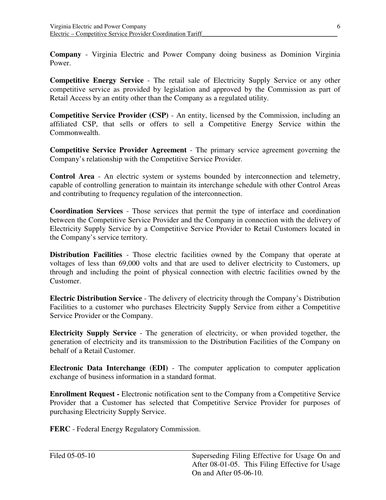**Company** - Virginia Electric and Power Company doing business as Dominion Virginia Power.

 **Competitive Energy Service** - The retail sale of Electricity Supply Service or any other competitive service as provided by legislation and approved by the Commission as part of Retail Access by an entity other than the Company as a regulated utility.

 **Competitive Service Provider (CSP)** - An entity, licensed by the Commission, including an affiliated CSP, that sells or offers to sell a Competitive Energy Service within the Commonwealth.

 **Competitive Service Provider Agreement** - The primary service agreement governing the Company's relationship with the Competitive Service Provider.

Control Area - An electric system or systems bounded by interconnection and telemetry, capable of controlling generation to maintain its interchange schedule with other Control Areas and contributing to frequency regulation of the interconnection.

 **Coordination Services** - Those services that permit the type of interface and coordination between the Competitive Service Provider and the Company in connection with the delivery of Electricity Supply Service by a Competitive Service Provider to Retail Customers located in the Company's service territory.

 **Distribution Facilities** - Those electric facilities owned by the Company that operate at voltages of less than 69,000 volts and that are used to deliver electricity to Customers, up through and including the point of physical connection with electric facilities owned by the Customer.

 **Electric Distribution Service** - The delivery of electricity through the Company's Distribution Facilities to a customer who purchases Electricity Supply Service from either a Competitive Service Provider or the Company.

 **Electricity Supply Service** - The generation of electricity, or when provided together, the generation of electricity and its transmission to the Distribution Facilities of the Company on behalf of a Retail Customer.

 **Electronic Data Interchange (EDI)** - The computer application to computer application exchange of business information in a standard format.

**Enrollment Request -** Electronic notification sent to the Company from a Competitive Service Provider that a Customer has selected that Competitive Service Provider for purposes of purchasing Electricity Supply Service.

 **FERC** - Federal Energy Regulatory Commission.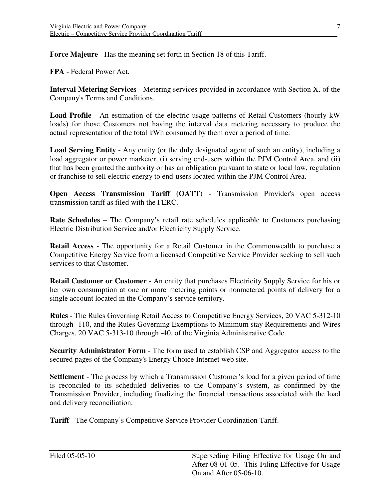**Force Majeure** - Has the meaning set forth in Section 18 of this Tariff.

**FPA** - Federal Power Act.

 **Interval Metering Services** - Metering services provided in accordance with Section X. of the Company's Terms and Conditions.

 **Load Profile** - An estimation of the electric usage patterns of Retail Customers (hourly kW loads) for those Customers not having the interval data metering necessary to produce the actual representation of the total kWh consumed by them over a period of time.

 **Load Serving Entity** - Any entity (or the duly designated agent of such an entity), including a load aggregator or power marketer, (i) serving end-users within the PJM Control Area, and (ii) that has been granted the authority or has an obligation pursuant to state or local law, regulation or franchise to sell electric energy to end-users located within the PJM Control Area.

**Open Access Transmission Tariff (OATT)** - Transmission Provider's open access transmission tariff as filed with the FERC.

 **Rate Schedules** – The Company's retail rate schedules applicable to Customers purchasing Electric Distribution Service and/or Electricity Supply Service.

 **Retail Access** - The opportunity for a Retail Customer in the Commonwealth to purchase a Competitive Energy Service from a licensed Competitive Service Provider seeking to sell such services to that Customer.

 **Retail Customer or Customer** - An entity that purchases Electricity Supply Service for his or her own consumption at one or more metering points or nonmetered points of delivery for a single account located in the Company's service territory.

 **Rules** - The Rules Governing Retail Access to Competitive Energy Services, 20 VAC 5-312-10 through -110, and the Rules Governing Exemptions to Minimum stay Requirements and Wires Charges, 20 VAC 5-313-10 through -40, of the Virginia Administrative Code.

 **Security Administrator Form** - The form used to establish CSP and Aggregator access to the secured pages of the Company's Energy Choice Internet web site.

Settlement - The process by which a Transmission Customer's load for a given period of time is reconciled to its scheduled deliveries to the Company's system, as confirmed by the Transmission Provider, including finalizing the financial transactions associated with the load and delivery reconciliation.

 **Tariff** - The Company's Competitive Service Provider Coordination Tariff.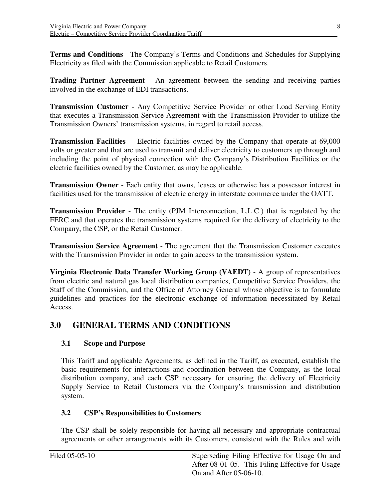**Terms and Conditions** - The Company's Terms and Conditions and Schedules for Supplying Electricity as filed with the Commission applicable to Retail Customers.

 **Trading Partner Agreement** - An agreement between the sending and receiving parties involved in the exchange of EDI transactions.

 **Transmission Customer** - Any Competitive Service Provider or other Load Serving Entity that executes a Transmission Service Agreement with the Transmission Provider to utilize the Transmission Owners' transmission systems, in regard to retail access.

**Transmission Facilities** - Electric facilities owned by the Company that operate at 69,000 volts or greater and that are used to transmit and deliver electricity to customers up through and including the point of physical connection with the Company's Distribution Facilities or the electric facilities owned by the Customer, as may be applicable.

**Transmission Owner** - Each entity that owns, leases or otherwise has a possessor interest in facilities used for the transmission of electric energy in interstate commerce under the OATT.

 **Transmission Provider** - The entity (PJM Interconnection, L.L.C.) that is regulated by the FERC and that operates the transmission systems required for the delivery of electricity to the Company, the CSP, or the Retail Customer.

 **Transmission Service Agreement** - The agreement that the Transmission Customer executes with the Transmission Provider in order to gain access to the transmission system.

 **Virginia Electronic Data Transfer Working Group (VAEDT)** - A group of representatives from electric and natural gas local distribution companies, Competitive Service Providers, the Staff of the Commission, and the Office of Attorney General whose objective is to formulate guidelines and practices for the electronic exchange of information necessitated by Retail Access.

# **3.0 GENERAL TERMS AND CONDITIONS**

# **3.1 Scope and Purpose**

 This Tariff and applicable Agreements, as defined in the Tariff, as executed, establish the basic requirements for interactions and coordination between the Company, as the local distribution company, and each CSP necessary for ensuring the delivery of Electricity Supply Service to Retail Customers via the Company's transmission and distribution system.

# **3.2 CSP's Responsibilities to Customers**

 The CSP shall be solely responsible for having all necessary and appropriate contractual agreements or other arrangements with its Customers, consistent with the Rules and with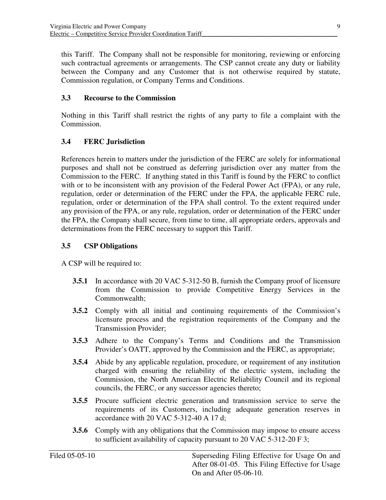this Tariff. The Company shall not be responsible for monitoring, reviewing or enforcing such contractual agreements or arrangements. The CSP cannot create any duty or liability between the Company and any Customer that is not otherwise required by statute, Commission regulation, or Company Terms and Conditions.

### **3.3 Recourse to the Commission**

 Nothing in this Tariff shall restrict the rights of any party to file a complaint with the Commission.

#### **3.4 FERC Jurisdiction**

 References herein to matters under the jurisdiction of the FERC are solely for informational purposes and shall not be construed as deferring jurisdiction over any matter from the Commission to the FERC. If anything stated in this Tariff is found by the FERC to conflict with or to be inconsistent with any provision of the Federal Power Act (FPA), or any rule, regulation, order or determination of the FERC under the FPA, the applicable FERC rule, regulation, order or determination of the FPA shall control. To the extent required under any provision of the FPA, or any rule, regulation, order or determination of the FERC under the FPA, the Company shall secure, from time to time, all appropriate orders, approvals and determinations from the FERC necessary to support this Tariff.

#### **3.5 CSP Obligations**

A CSP will be required to:

- **3.5.1** In accordance with 20 VAC 5-312-50 B, furnish the Company proof of licensure from the Commission to provide Competitive Energy Services in the Commonwealth;
- **3.5.2** Comply with all initial and continuing requirements of the Commission's licensure process and the registration requirements of the Company and the Transmission Provider;
- **3.5.3** Adhere to the Company's Terms and Conditions and the Transmission Provider's OATT, approved by the Commission and the FERC, as appropriate;
- **3.5.4** Abide by any applicable regulation, procedure, or requirement of any institution charged with ensuring the reliability of the electric system, including the Commission, the North American Electric Reliability Council and its regional councils, the FERC, or any successor agencies thereto;
- **3.5.5** Procure sufficient electric generation and transmission service to serve the requirements of its Customers, including adequate generation reserves in accordance with 20 VAC 5-312-40 A 17 d;
- **3.5.6** Comply with any obligations that the Commission may impose to ensure access to sufficient availability of capacity pursuant to 20 VAC 5-312-20 F 3;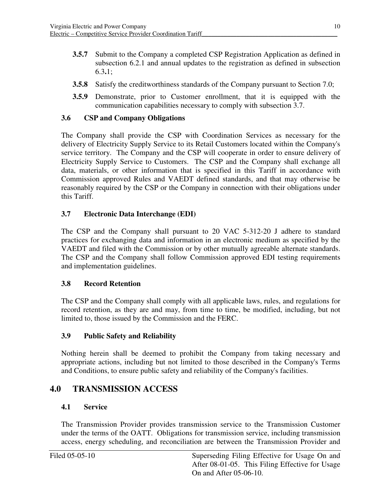- **3.5.7** Submit to the Company a completed CSP Registration Application as defined in subsection 6.2.1 and annual updates to the registration as defined in subsection 6.3**.**1;
- **3.5.8** Satisfy the creditworthiness standards of the Company pursuant to Section 7.0;
- **3.5.9** Demonstrate, prior to Customer enrollment, that it is equipped with the communication capabilities necessary to comply with subsection 3.7.

#### **3.6 CSP and Company Obligations**

 The Company shall provide the CSP with Coordination Services as necessary for the delivery of Electricity Supply Service to its Retail Customers located within the Company's service territory. The Company and the CSP will cooperate in order to ensure delivery of Electricity Supply Service to Customers. The CSP and the Company shall exchange all data, materials, or other information that is specified in this Tariff in accordance with Commission approved Rules and VAEDT defined standards, and that may otherwise be reasonably required by the CSP or the Company in connection with their obligations under this Tariff.

### **3.7 Electronic Data Interchange (EDI)**

 The CSP and the Company shall pursuant to 20 VAC 5-312-20 J adhere to standard practices for exchanging data and information in an electronic medium as specified by the VAEDT and filed with the Commission or by other mutually agreeable alternate standards. The CSP and the Company shall follow Commission approved EDI testing requirements and implementation guidelines.

#### **3.8 Record Retention**

 The CSP and the Company shall comply with all applicable laws, rules, and regulations for record retention, as they are and may, from time to time, be modified, including, but not limited to, those issued by the Commission and the FERC.

#### **3.9 Public Safety and Reliability**

 Nothing herein shall be deemed to prohibit the Company from taking necessary and appropriate actions, including but not limited to those described in the Company's Terms and Conditions, to ensure public safety and reliability of the Company's facilities.

# **4.0 TRANSMISSION ACCESS**

#### **4.1 Service**

 The Transmission Provider provides transmission service to the Transmission Customer under the terms of the OATT. Obligations for transmission service, including transmission access, energy scheduling, and reconciliation are between the Transmission Provider and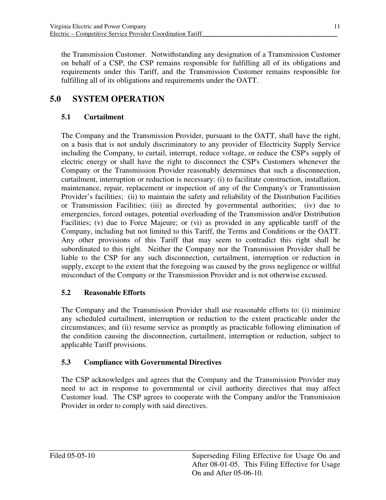the Transmission Customer. Notwithstanding any designation of a Transmission Customer on behalf of a CSP, the CSP remains responsible for fulfilling all of its obligations and requirements under this Tariff, and the Transmission Customer remains responsible for fulfilling all of its obligations and requirements under the OATT.

# **5.0 SYSTEM OPERATION**

# **5.1 Curtailment**

 The Company and the Transmission Provider, pursuant to the OATT, shall have the right, on a basis that is not unduly discriminatory to any provider of Electricity Supply Service including the Company, to curtail, interrupt, reduce voltage, or reduce the CSP's supply of electric energy or shall have the right to disconnect the CSP's Customers whenever the Company or the Transmission Provider reasonably determines that such a disconnection, curtailment, interruption or reduction is necessary: (i) to facilitate construction, installation, maintenance, repair, replacement or inspection of any of the Company's or Transmission Provider's facilities; (ii) to maintain the safety and reliability of the Distribution Facilities or Transmission Facilities; (iii) as directed by governmental authorities; (iv) due to emergencies, forced outages, potential overloading of the Transmission and/or Distribution Facilities; (v) due to Force Majeure; or (vi) as provided in any applicable tariff of the Company, including but not limited to this Tariff, the Terms and Conditions or the OATT. Any other provisions of this Tariff that may seem to contradict this right shall be subordinated to this right. Neither the Company nor the Transmission Provider shall be liable to the CSP for any such disconnection, curtailment, interruption or reduction in supply, except to the extent that the foregoing was caused by the gross negligence or willful misconduct of the Company or the Transmission Provider and is not otherwise excused.

# **5.2 Reasonable Efforts**

 The Company and the Transmission Provider shall use reasonable efforts to: (i) minimize any scheduled curtailment, interruption or reduction to the extent practicable under the circumstances; and (ii) resume service as promptly as practicable following elimination of the condition causing the disconnection, curtailment, interruption or reduction, subject to applicable Tariff provisions.

### **5.3 Compliance with Governmental Directives**

 The CSP acknowledges and agrees that the Company and the Transmission Provider may need to act in response to governmental or civil authority directives that may affect Customer load. The CSP agrees to cooperate with the Company and/or the Transmission Provider in order to comply with said directives.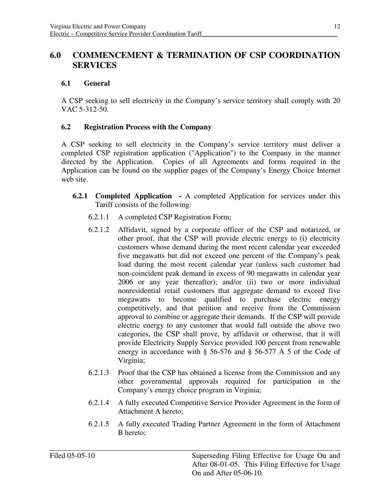# **6.0 COMMENCEMENT & TERMINATION OF CSP COORDINATION SERVICES**

# **6.1 General**

 A CSP seeking to sell electricity in the Company's service territory shall comply with 20 VAC 5-312-50.

# **6.2 Registration Process with the Company**

 A CSP seeking to sell electricity in the Company's service territory must deliver a completed CSP registration application ("Application") to the Company in the manner directed by the Application. Copies of all Agreements and forms required in the Application can be found on the supplier pages of the Company's Energy Choice Internet web site.

- **6.2.1 Completed Application -** A completed Application for services under this Tariff consists of the following:
	- 6.2.1.1 A completed CSP Registration Form;
	- 6.2.1.2 Affidavit, signed by a corporate officer of the CSP and notarized, or other proof, that the CSP will provide electric energy to (i) electricity customers whose demand during the most recent calendar year exceeded five megawatts but did not exceed one percent of the Company's peak load during the most recent calendar year (unless such customer had non-coincident peak demand in excess of 90 megawatts in calendar year 2006 or any year thereafter); and/or (ii) two or more individual nonresidential retail customers that aggregate demand to exceed five megawatts to become qualified to purchase electric energy competitively, and that petition and receive from the Commission approval to combine or aggregate their demands. If the CSP will provide electric energy to any customer that would fall outside the above two categories, the CSP shall prove, by affidavit or otherwise, that it will provide Electricity Supply Service provided 100 percent from renewable energy in accordance with § 56-576 and § 56-577 A 5 of the Code of Virginia;
	- 6.2.1.3 Proof that the CSP has obtained a license from the Commission and any other governmental approvals required for participation in the Company's energy choice program in Virginia;
	- 6.2.1.4 A fully executed Competitive Service Provider Agreement in the form of Attachment A hereto;
	- 6.2.1.5 A fully executed Trading Partner Agreement in the form of Attachment B hereto;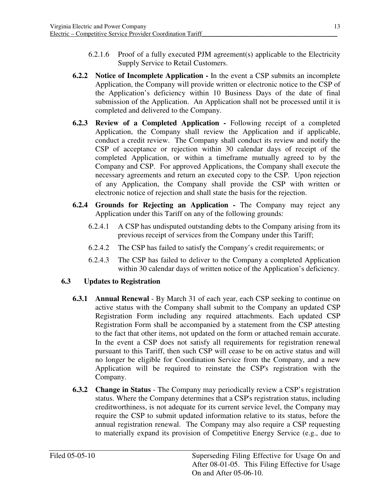- 6.2.1.6 Proof of a fully executed PJM agreement(s) applicable to the Electricity Supply Service to Retail Customers.
- **6.2.2** Notice of Incomplete Application In the event a CSP submits an incomplete Application, the Company will provide written or electronic notice to the CSP of the Application's deficiency within 10 Business Days of the date of final submission of the Application. An Application shall not be processed until it is completed and delivered to the Company.
- **6.2.3 Review of a Completed Application -** Following receipt of a completed Application, the Company shall review the Application and if applicable, conduct a credit review. The Company shall conduct its review and notify the CSP of acceptance or rejection within 30 calendar days of receipt of the completed Application, or within a timeframe mutually agreed to by the Company and CSP. For approved Applications, the Company shall execute the necessary agreements and return an executed copy to the CSP. Upon rejection of any Application, the Company shall provide the CSP with written or electronic notice of rejection and shall state the basis for the rejection.
- **6.2.4 Grounds for Rejecting an Application -** The Company may reject any Application under this Tariff on any of the following grounds:
	- 6.2.4.1 A CSP has undisputed outstanding debts to the Company arising from its previous receipt of services from the Company under this Tariff;
	- 6.2.4.2 The CSP has failed to satisfy the Company's credit requirements; or
	- 6.2.4.3 The CSP has failed to deliver to the Company a completed Application within 30 calendar days of written notice of the Application's deficiency.

# **6.3 Updates to Registration**

- **6.3.1 Annual Renewal** By March 31 of each year, each CSP seeking to continue on active status with the Company shall submit to the Company an updated CSP Registration Form including any required attachments. Each updated CSP Registration Form shall be accompanied by a statement from the CSP attesting to the fact that other items, not updated on the form or attached remain accurate. In the event a CSP does not satisfy all requirements for registration renewal pursuant to this Tariff, then such CSP will cease to be on active status and will no longer be eligible for Coordination Service from the Company, and a new Application will be required to reinstate the CSP's registration with the Company.
- **6.3.2** Change in Status The Company may periodically review a CSP's registration status. Where the Company determines that a CSP's registration status, including creditworthiness, is not adequate for its current service level, the Company may require the CSP to submit updated information relative to its status, before the annual registration renewal. The Company may also require a CSP requesting to materially expand its provision of Competitive Energy Service (e.g., due to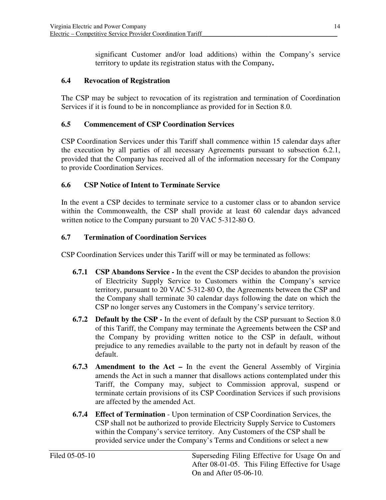significant Customer and/or load additions) within the Company's service territory to update its registration status with the Company**.** 

#### **6.4 Revocation of Registration**

 The CSP may be subject to revocation of its registration and termination of Coordination Services if it is found to be in noncompliance as provided for in Section 8.0.

#### **6.5 Commencement of CSP Coordination Services**

 CSP Coordination Services under this Tariff shall commence within 15 calendar days after the execution by all parties of all necessary Agreements pursuant to subsection 6.2.1, provided that the Company has received all of the information necessary for the Company to provide Coordination Services.

#### **6.6 CSP Notice of Intent to Terminate Service**

 In the event a CSP decides to terminate service to a customer class or to abandon service within the Commonwealth, the CSP shall provide at least 60 calendar days advanced written notice to the Company pursuant to 20 VAC 5-312-80 O.

#### **6.7 Termination of Coordination Services**

CSP Coordination Services under this Tariff will or may be terminated as follows:

- **6.7.1 CSP Abandons Service -** In the event the CSP decides to abandon the provision of Electricity Supply Service to Customers within the Company's service territory, pursuant to 20 VAC 5-312-80 O, the Agreements between the CSP and the Company shall terminate 30 calendar days following the date on which the CSP no longer serves any Customers in the Company's service territory.
- **6.7.2** Default by the CSP In the event of default by the CSP pursuant to Section 8.0 of this Tariff, the Company may terminate the Agreements between the CSP and the Company by providing written notice to the CSP in default, without prejudice to any remedies available to the party not in default by reason of the default.
- **6.7.3 Amendment to the Act In the event the General Assembly of Virginia**  amends the Act in such a manner that disallows actions contemplated under this Tariff, the Company may, subject to Commission approval, suspend or terminate certain provisions of its CSP Coordination Services if such provisions are affected by the amended Act.
- **6.7.4 Effect of Termination** Upon termination of CSP Coordination Services, the CSP shall not be authorized to provide Electricity Supply Service to Customers within the Company's service territory. Any Customers of the CSP shall be provided service under the Company's Terms and Conditions or select a new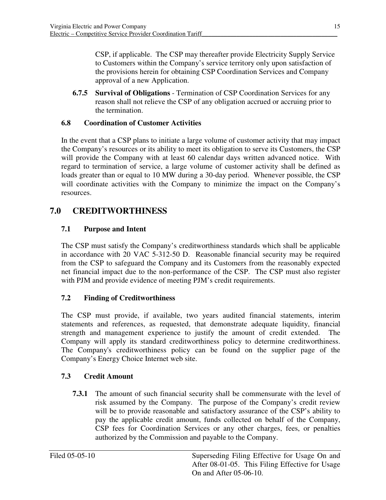CSP, if applicable. The CSP may thereafter provide Electricity Supply Service to Customers within the Company's service territory only upon satisfaction of the provisions herein for obtaining CSP Coordination Services and Company approval of a new Application.

**6.7.5** Survival of Obligations - Termination of CSP Coordination Services for any reason shall not relieve the CSP of any obligation accrued or accruing prior to the termination.

### **6.8 Coordination of Customer Activities**

 In the event that a CSP plans to initiate a large volume of customer activity that may impact the Company's resources or its ability to meet its obligation to serve its Customers, the CSP will provide the Company with at least 60 calendar days written advanced notice. With regard to termination of service, a large volume of customer activity shall be defined as loads greater than or equal to 10 MW during a 30-day period. Whenever possible, the CSP will coordinate activities with the Company to minimize the impact on the Company's resources.

# **7.0 CREDITWORTHINESS**

# **7.1 Purpose and Intent**

 The CSP must satisfy the Company's creditworthiness standards which shall be applicable in accordance with 20 VAC 5-312-50 D. Reasonable financial security may be required from the CSP to safeguard the Company and its Customers from the reasonably expected net financial impact due to the non-performance of the CSP. The CSP must also register with PJM and provide evidence of meeting PJM's credit requirements.

#### **7.2 Finding of Creditworthiness**

 The CSP must provide, if available, two years audited financial statements, interim statements and references, as requested, that demonstrate adequate liquidity, financial strength and management experience to justify the amount of credit extended. The Company will apply its standard creditworthiness policy to determine creditworthiness. The Company's creditworthiness policy can be found on the supplier page of the Company's Energy Choice Internet web site.

#### **7.3 Credit Amount**

**7.3.1** The amount of such financial security shall be commensurate with the level of risk assumed by the Company. The purpose of the Company's credit review will be to provide reasonable and satisfactory assurance of the CSP's ability to pay the applicable credit amount, funds collected on behalf of the Company, CSP fees for Coordination Services or any other charges, fees, or penalties authorized by the Commission and payable to the Company.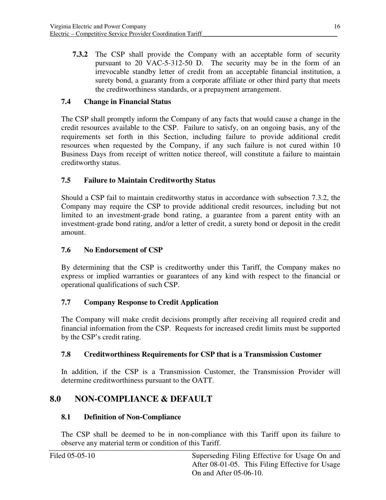**7.3.2** The CSP shall provide the Company with an acceptable form of security pursuant to 20 VAC-5-312-50 D. The security may be in the form of an irrevocable standby letter of credit from an acceptable financial institution, a surety bond, a guaranty from a corporate affiliate or other third party that meets the creditworthiness standards, or a prepayment arrangement.

# **7.4 Change in Financial Status**

 The CSP shall promptly inform the Company of any facts that would cause a change in the credit resources available to the CSP. Failure to satisfy, on an ongoing basis, any of the requirements set forth in this Section, including failure to provide additional credit resources when requested by the Company, if any such failure is not cured within 10 Business Days from receipt of written notice thereof, will constitute a failure to maintain creditworthy status.

### **7.5 Failure to Maintain Creditworthy Status**

 Should a CSP fail to maintain creditworthy status in accordance with subsection 7.3.2, the Company may require the CSP to provide additional credit resources, including but not limited to an investment-grade bond rating, a guarantee from a parent entity with an investment-grade bond rating, and/or a letter of credit, a surety bond or deposit in the credit amount.

### **7.6 No Endorsement of CSP**

 By determining that the CSP is creditworthy under this Tariff, the Company makes no express or implied warranties or guarantees of any kind with respect to the financial or operational qualifications of such CSP.

#### **7.7 Company Response to Credit Application**

 The Company will make credit decisions promptly after receiving all required credit and financial information from the CSP. Requests for increased credit limits must be supported by the CSP's credit rating.

### **7.8 Creditworthiness Requirements for CSP that is a Transmission Customer**

 In addition, if the CSP is a Transmission Customer, the Transmission Provider will determine creditworthiness pursuant to the OATT.

# **8.0 NON-COMPLIANCE & DEFAULT**

#### **8.1 Definition of Non-Compliance**

 The CSP shall be deemed to be in non-compliance with this Tariff upon its failure to observe any material term or condition of this Tariff.

| Filed 05-05-10 | Superseding Filing Effective for Usage On and   |
|----------------|-------------------------------------------------|
|                | After 08-01-05. This Filing Effective for Usage |
|                | On and After 05-06-10.                          |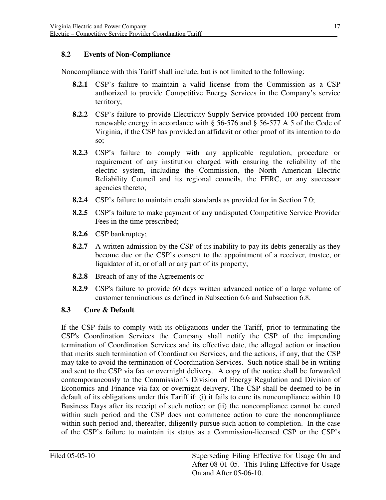## **8.2 Events of Non-Compliance**

Noncompliance with this Tariff shall include, but is not limited to the following:

- **8.2.1** CSP's failure to maintain a valid license from the Commission as a CSP authorized to provide Competitive Energy Services in the Company's service territory;
- **8.2.2** CSP's failure to provide Electricity Supply Service provided 100 percent from renewable energy in accordance with § 56-576 and § 56-577 A 5 of the Code of Virginia, if the CSP has provided an affidavit or other proof of its intention to do so;
- **8.2.3** CSP's failure to comply with any applicable regulation, procedure or requirement of any institution charged with ensuring the reliability of the electric system, including the Commission, the North American Electric Reliability Council and its regional councils, the FERC, or any successor agencies thereto;
- **8.2.4** CSP's failure to maintain credit standards as provided for in Section 7.0;
- **8.2.5** CSP's failure to make payment of any undisputed Competitive Service Provider Fees in the time prescribed;
- **8.2.6** CSP bankruptcy;
- **8.2.7** A written admission by the CSP of its inability to pay its debts generally as they become due or the CSP's consent to the appointment of a receiver, trustee, or liquidator of it, or of all or any part of its property;
- **8.2.8** Breach of any of the Agreements or
- **8.2.9** CSP's failure to provide 60 days written advanced notice of a large volume of customer terminations as defined in Subsection 6.6 and Subsection 6.8.

#### **8.3 Cure & Default**

 If the CSP fails to comply with its obligations under the Tariff, prior to terminating the CSP's Coordination Services the Company shall notify the CSP of the impending termination of Coordination Services and its effective date, the alleged action or inaction that merits such termination of Coordination Services, and the actions, if any, that the CSP may take to avoid the termination of Coordination Services. Such notice shall be in writing and sent to the CSP via fax or overnight delivery. A copy of the notice shall be forwarded contemporaneously to the Commission's Division of Energy Regulation and Division of Economics and Finance via fax or overnight delivery. The CSP shall be deemed to be in default of its obligations under this Tariff if: (i) it fails to cure its noncompliance within 10 Business Days after its receipt of such notice; or (ii) the noncompliance cannot be cured within such period and the CSP does not commence action to cure the noncompliance within such period and, thereafter, diligently pursue such action to completion. In the case of the CSP's failure to maintain its status as a Commission-licensed CSP or the CSP's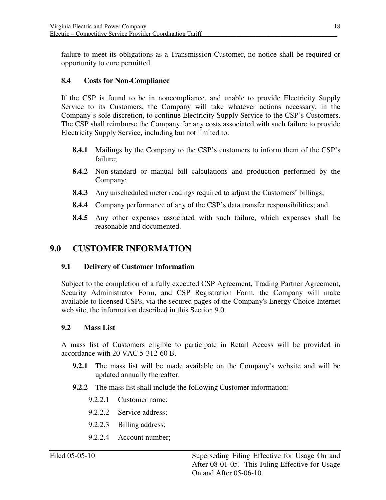failure to meet its obligations as a Transmission Customer, no notice shall be required or opportunity to cure permitted.

#### **8.4 Costs for Non-Compliance**

 If the CSP is found to be in noncompliance, and unable to provide Electricity Supply Service to its Customers, the Company will take whatever actions necessary, in the Company's sole discretion, to continue Electricity Supply Service to the CSP's Customers. The CSP shall reimburse the Company for any costs associated with such failure to provide Electricity Supply Service, including but not limited to:

- **8.4.1** Mailings by the Company to the CSP's customers to inform them of the CSP's failure;
- **8.4.2** Non-standard or manual bill calculations and production performed by the Company;
- **8.4.3** Any unscheduled meter readings required to adjust the Customers' billings;
- **8.4.4** Company performance of any of the CSP's data transfer responsibilities; and
- **8.4.5** Any other expenses associated with such failure, which expenses shall be reasonable and documented.

# **9.0 CUSTOMER INFORMATION**

#### **9.1 Delivery of Customer Information**

 Subject to the completion of a fully executed CSP Agreement, Trading Partner Agreement, Security Administrator Form, and CSP Registration Form, the Company will make available to licensed CSPs, via the secured pages of the Company's Energy Choice Internet web site, the information described in this Section 9.0.

#### **9.2 Mass List**

 A mass list of Customers eligible to participate in Retail Access will be provided in accordance with 20 VAC 5-312-60 B.

- **9.2.1** The mass list will be made available on the Company's website and will be updated annually thereafter.
- **9.2.2** The mass list shall include the following Customer information:
	- 9.2.2.1 Customer name;
	- 9.2.2.2 Service address;
	- 9.2.2.3 Billing address;
	- 9.2.2.4 Account number;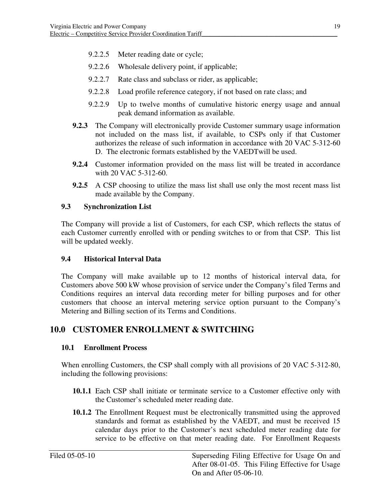- 9.2.2.5 Meter reading date or cycle;
- 9.2.2.6 Wholesale delivery point, if applicable;
- 9.2.2.7 Rate class and subclass or rider, as applicable;
- 9.2.2.8 Load profile reference category, if not based on rate class; and
- 9.2.2.9 Up to twelve months of cumulative historic energy usage and annual peak demand information as available.
- **9.2.3** The Company will electronically provide Customer summary usage information not included on the mass list, if available, to CSPs only if that Customer authorizes the release of such information in accordance with 20 VAC 5-312-60 D. The electronic formats established by the VAEDTwill be used.
- **9.2.4** Customer information provided on the mass list will be treated in accordance with 20 VAC 5-312-60.
- **9.2.5** A CSP choosing to utilize the mass list shall use only the most recent mass list made available by the Company.

#### **9.3 Synchronization List**

 The Company will provide a list of Customers, for each CSP, which reflects the status of each Customer currently enrolled with or pending switches to or from that CSP. This list will be updated weekly.

#### **9.4 Historical Interval Data**

 The Company will make available up to 12 months of historical interval data, for Customers above 500 kW whose provision of service under the Company's filed Terms and Conditions requires an interval data recording meter for billing purposes and for other customers that choose an interval metering service option pursuant to the Company's Metering and Billing section of its Terms and Conditions.

# **10.0 CUSTOMER ENROLLMENT & SWITCHING**

#### **10.1 Enrollment Process**

 When enrolling Customers, the CSP shall comply with all provisions of 20 VAC 5-312-80, including the following provisions:

- **10.1.1** Each CSP shall initiate or terminate service to a Customer effective only with the Customer's scheduled meter reading date.
- **10.1.2** The Enrollment Request must be electronically transmitted using the approved standards and format as established by the VAEDT, and must be received 15 calendar days prior to the Customer's next scheduled meter reading date for service to be effective on that meter reading date. For Enrollment Requests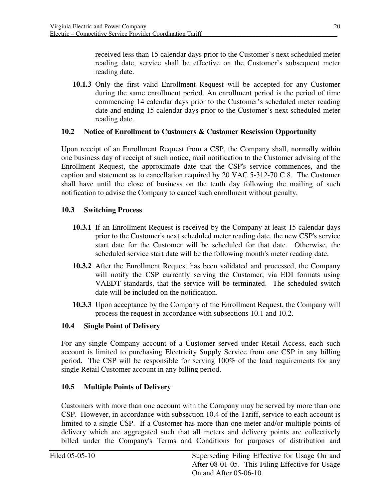received less than 15 calendar days prior to the Customer's next scheduled meter reading date, service shall be effective on the Customer's subsequent meter reading date.

10.1.3 Only the first valid Enrollment Request will be accepted for any Customer during the same enrollment period. An enrollment period is the period of time commencing 14 calendar days prior to the Customer's scheduled meter reading date and ending 15 calendar days prior to the Customer's next scheduled meter reading date.

### 10.2 Notice of Enrollment to Customers & Customer Rescission Opportunity

 Upon receipt of an Enrollment Request from a CSP, the Company shall, normally within one business day of receipt of such notice, mail notification to the Customer advising of the Enrollment Request, the approximate date that the CSP's service commences, and the caption and statement as to cancellation required by 20 VAC 5-312-70 C 8. The Customer shall have until the close of business on the tenth day following the mailing of such notification to advise the Company to cancel such enrollment without penalty.

### **10.3 Switching Process**

- **10.3.1** If an Enrollment Request is received by the Company at least 15 calendar days prior to the Customer's next scheduled meter reading date, the new CSP's service start date for the Customer will be scheduled for that date. Otherwise, the scheduled service start date will be the following month's meter reading date.
- **10.3.2** After the Enrollment Request has been validated and processed, the Company will notify the CSP currently serving the Customer, via EDI formats using VAEDT standards, that the service will be terminated. The scheduled switch date will be included on the notification.
- **10.3.3** Upon acceptance by the Company of the Enrollment Request, the Company will process the request in accordance with subsections 10.1 and 10.2.

#### **10.4 Single Point of Delivery**

 For any single Company account of a Customer served under Retail Access, each such account is limited to purchasing Electricity Supply Service from one CSP in any billing period. The CSP will be responsible for serving 100% of the load requirements for any single Retail Customer account in any billing period.

#### **10.5 Multiple Points of Delivery**

 Customers with more than one account with the Company may be served by more than one CSP. However, in accordance with subsection 10.4 of the Tariff, service to each account is limited to a single CSP. If a Customer has more than one meter and/or multiple points of delivery which are aggregated such that all meters and delivery points are collectively billed under the Company's Terms and Conditions for purposes of distribution and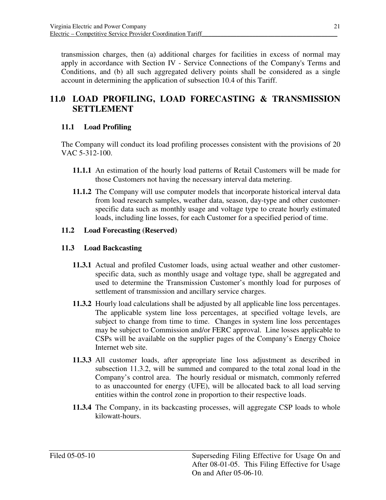transmission charges, then (a) additional charges for facilities in excess of normal may apply in accordance with Section IV - Service Connections of the Company's Terms and Conditions, and (b) all such aggregated delivery points shall be considered as a single account in determining the application of subsection 10.4 of this Tariff.

# **11.0 LOAD PROFILING, LOAD FORECASTING & TRANSMISSION SETTLEMENT**

# **11.1 Load Profiling**

 The Company will conduct its load profiling processes consistent with the provisions of 20 VAC 5-312-100.

- **11.1.1** An estimation of the hourly load patterns of Retail Customers will be made for those Customers not having the necessary interval data metering.
- **11.1.2** The Company will use computer models that incorporate historical interval data from load research samples, weather data, season, day-type and other customer- specific data such as monthly usage and voltage type to create hourly estimated loads, including line losses, for each Customer for a specified period of time.

#### **11.2 Load Forecasting (Reserved)**

### **11.3 Load Backcasting**

- 11.3.1 Actual and profiled Customer loads, using actual weather and other customer- specific data, such as monthly usage and voltage type, shall be aggregated and used to determine the Transmission Customer's monthly load for purposes of settlement of transmission and ancillary service charges.
- **11.3.2** Hourly load calculations shall be adjusted by all applicable line loss percentages. The applicable system line loss percentages, at specified voltage levels, are subject to change from time to time. Changes in system line loss percentages may be subject to Commission and/or FERC approval. Line losses applicable to CSPs will be available on the supplier pages of the Company's Energy Choice Internet web site.
- **11.3.3** All customer loads, after appropriate line loss adjustment as described in subsection 11.3.2, will be summed and compared to the total zonal load in the Company's control area. The hourly residual or mismatch, commonly referred to as unaccounted for energy (UFE), will be allocated back to all load serving entities within the control zone in proportion to their respective loads.
- **11.3.4** The Company, in its backcasting processes, will aggregate CSP loads to whole kilowatt-hours.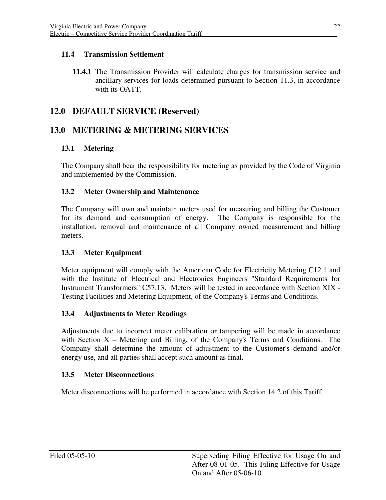### **11.4 Transmission Settlement**

11.4.1 The Transmission Provider will calculate charges for transmission service and ancillary services for loads determined pursuant to Section 11.3, in accordance with its OATT.

# **12.0 DEFAULT SERVICE (Reserved)**

# **13.0 METERING & METERING SERVICES**

# **13.1 Metering**

 The Company shall bear the responsibility for metering as provided by the Code of Virginia and implemented by the Commission.

# **13.2 Meter Ownership and Maintenance**

 The Company will own and maintain meters used for measuring and billing the Customer for its demand and consumption of energy. The Company is responsible for the installation, removal and maintenance of all Company owned measurement and billing meters.

### **13.3 Meter Equipment**

 Meter equipment will comply with the American Code for Electricity Metering C12.1 and with the Institute of Electrical and Electronics Engineers "Standard Requirements for Instrument Transformers" C57.13. Meters will be tested in accordance with Section XIX Testing Facilities and Metering Equipment, of the Company's Terms and Conditions.

#### **13.4 Adjustments to Meter Readings**

 Adjustments due to incorrect meter calibration or tampering will be made in accordance with Section  $X$  – Metering and Billing, of the Company's Terms and Conditions. The Company shall determine the amount of adjustment to the Customer's demand and/or energy use, and all parties shall accept such amount as final.

#### **13.5 Meter Disconnections**

Meter disconnections will be performed in accordance with Section 14.2 of this Tariff.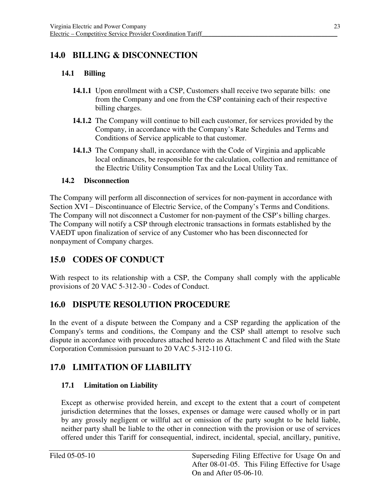# **14.0 BILLING & DISCONNECTION**

# **14.1 Billing**

- **14.1.1** Upon enrollment with a CSP, Customers shall receive two separate bills: one from the Company and one from the CSP containing each of their respective billing charges.
- **14.1.2** The Company will continue to bill each customer, for services provided by the Company, in accordance with the Company's Rate Schedules and Terms and Conditions of Service applicable to that customer.
- **14.1.3** The Company shall, in accordance with the Code of Virginia and applicable local ordinances, be responsible for the calculation, collection and remittance of the Electric Utility Consumption Tax and the Local Utility Tax.

#### **14.2 Disconnection**

 The Company will perform all disconnection of services for non-payment in accordance with Section XVI – Discontinuance of Electric Service, of the Company's Terms and Conditions. The Company will not disconnect a Customer for non-payment of the CSP's billing charges. The Company will notify a CSP through electronic transactions in formats established by the VAEDT upon finalization of service of any Customer who has been disconnected for nonpayment of Company charges.

# **15.0 CODES OF CONDUCT**

 With respect to its relationship with a CSP, the Company shall comply with the applicable provisions of 20 VAC 5-312-30 - Codes of Conduct.

# **16.0 DISPUTE RESOLUTION PROCEDURE**

 In the event of a dispute between the Company and a CSP regarding the application of the Company's terms and conditions, the Company and the CSP shall attempt to resolve such dispute in accordance with procedures attached hereto as Attachment C and filed with the State Corporation Commission pursuant to 20 VAC 5-312-110 G.

# **17.0 LIMITATION OF LIABILITY**

#### **17.1 Limitation on Liability**

 Except as otherwise provided herein, and except to the extent that a court of competent jurisdiction determines that the losses, expenses or damage were caused wholly or in part by any grossly negligent or willful act or omission of the party sought to be held liable, neither party shall be liable to the other in connection with the provision or use of services offered under this Tariff for consequential, indirect, incidental, special, ancillary, punitive,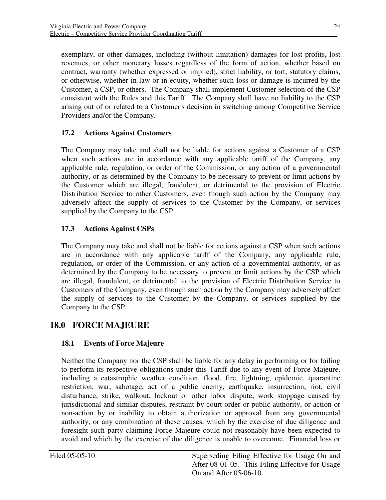exemplary, or other damages, including (without limitation) damages for lost profits, lost revenues, or other monetary losses regardless of the form of action, whether based on contract, warranty (whether expressed or implied), strict liability, or tort, statutory claims, or otherwise, whether in law or in equity, whether such loss or damage is incurred by the Customer, a CSP, or others. The Company shall implement Customer selection of the CSP consistent with the Rules and this Tariff. The Company shall have no liability to the CSP arising out of or related to a Customer's decision in switching among Competitive Service Providers and/or the Company.

### **17.2 Actions Against Customers**

 The Company may take and shall not be liable for actions against a Customer of a CSP when such actions are in accordance with any applicable tariff of the Company, any applicable rule, regulation, or order of the Commission, or any action of a governmental authority, or as determined by the Company to be necessary to prevent or limit actions by the Customer which are illegal, fraudulent, or detrimental to the provision of Electric Distribution Service to other Customers, even though such action by the Company may adversely affect the supply of services to the Customer by the Company, or services supplied by the Company to the CSP.

### **17.3 Actions Against CSPs**

 The Company may take and shall not be liable for actions against a CSP when such actions are in accordance with any applicable tariff of the Company, any applicable rule, regulation, or order of the Commission, or any action of a governmental authority, or as determined by the Company to be necessary to prevent or limit actions by the CSP which are illegal, fraudulent, or detrimental to the provision of Electric Distribution Service to Customers of the Company, even though such action by the Company may adversely affect the supply of services to the Customer by the Company, or services supplied by the Company to the CSP.

# **18.0 FORCE MAJEURE**

#### **18.1 Events of Force Majeure**

 Neither the Company nor the CSP shall be liable for any delay in performing or for failing to perform its respective obligations under this Tariff due to any event of Force Majeure, including a catastrophic weather condition, flood, fire, lightning, epidemic, quarantine restriction, war, sabotage, act of a public enemy, earthquake, insurrection, riot, civil disturbance, strike, walkout, lockout or other labor dispute, work stoppage caused by jurisdictional and similar disputes, restraint by court order or public authority, or action or non-action by or inability to obtain authorization or approval from any governmental authority, or any combination of these causes, which by the exercise of due diligence and foresight such party claiming Force Majeure could not reasonably have been expected to avoid and which by the exercise of due diligence is unable to overcome. Financial loss or

 After 08-01-05. This Filing Effective for Usage On and After 05-06-10. Superseding Filing Effective for Usage On and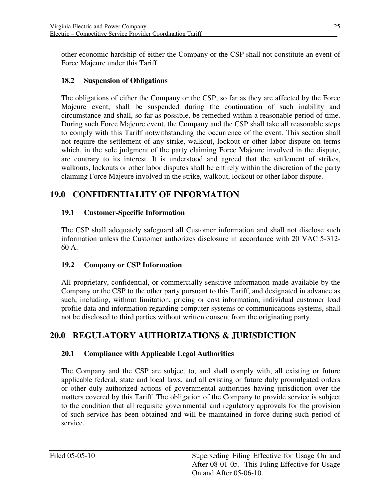other economic hardship of either the Company or the CSP shall not constitute an event of Force Majeure under this Tariff.

### **18.2 Suspension of Obligations**

 The obligations of either the Company or the CSP, so far as they are affected by the Force Majeure event, shall be suspended during the continuation of such inability and circumstance and shall, so far as possible, be remedied within a reasonable period of time. During such Force Majeure event, the Company and the CSP shall take all reasonable steps to comply with this Tariff notwithstanding the occurrence of the event. This section shall not require the settlement of any strike, walkout, lockout or other labor dispute on terms which, in the sole judgment of the party claiming Force Majeure involved in the dispute, are contrary to its interest. It is understood and agreed that the settlement of strikes, walkouts, lockouts or other labor disputes shall be entirely within the discretion of the party claiming Force Majeure involved in the strike, walkout, lockout or other labor dispute.

# **19.0 CONFIDENTIALITY OF INFORMATION**

### **19.1 Customer-Specific Information**

 The CSP shall adequately safeguard all Customer information and shall not disclose such information unless the Customer authorizes disclosure in accordance with 20 VAC 5-312 60 A.

#### **19.2 Company or CSP Information**

 All proprietary, confidential, or commercially sensitive information made available by the Company or the CSP to the other party pursuant to this Tariff, and designated in advance as such, including, without limitation, pricing or cost information, individual customer load profile data and information regarding computer systems or communications systems, shall not be disclosed to third parties without written consent from the originating party.

# **20.0 REGULATORY AUTHORIZATIONS & JURISDICTION**

#### **20.1 Compliance with Applicable Legal Authorities**

 The Company and the CSP are subject to, and shall comply with, all existing or future applicable federal, state and local laws, and all existing or future duly promulgated orders or other duly authorized actions of governmental authorities having jurisdiction over the matters covered by this Tariff. The obligation of the Company to provide service is subject to the condition that all requisite governmental and regulatory approvals for the provision of such service has been obtained and will be maintained in force during such period of service.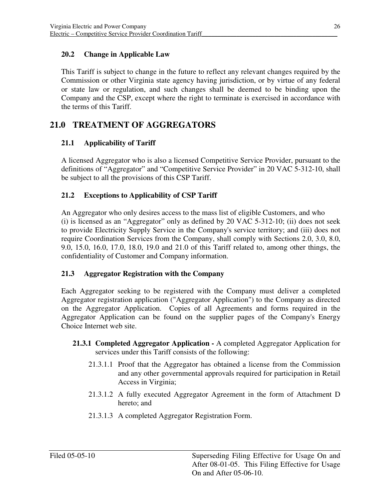### **20.2 Change in Applicable Law**

 This Tariff is subject to change in the future to reflect any relevant changes required by the Commission or other Virginia state agency having jurisdiction, or by virtue of any federal or state law or regulation, and such changes shall be deemed to be binding upon the Company and the CSP, except where the right to terminate is exercised in accordance with the terms of this Tariff.

# **21.0 TREATMENT OF AGGREGATORS**

# **21.1 Applicability of Tariff**

 A licensed Aggregator who is also a licensed Competitive Service Provider, pursuant to the definitions of "Aggregator" and "Competitive Service Provider" in 20 VAC 5-312-10, shall be subject to all the provisions of this CSP Tariff.

#### **21.2 Exceptions to Applicability of CSP Tariff**

 An Aggregator who only desires access to the mass list of eligible Customers, and who (i) is licensed as an "Aggregator" only as defined by 20 VAC 5-312-10; (ii) does not seek to provide Electricity Supply Service in the Company's service territory; and (iii) does not require Coordination Services from the Company, shall comply with Sections 2.0, 3.0, 8.0, 9.0, 15.0, 16.0, 17.0, 18.0, 19.0 and 21.0 of this Tariff related to, among other things, the confidentiality of Customer and Company information.

### **21.3 Aggregator Registration with the Company**

 Each Aggregator seeking to be registered with the Company must deliver a completed Aggregator registration application ("Aggregator Application") to the Company as directed on the Aggregator Application. Copies of all Agreements and forms required in the Aggregator Application can be found on the supplier pages of the Company's Energy Choice Internet web site.

- **21.3.1 Completed Aggregator Application -** A completed Aggregator Application for services under this Tariff consists of the following:
	- 21.3.1.1 Proof that the Aggregator has obtained a license from the Commission and any other governmental approvals required for participation in Retail Access in Virginia;
	- 21.3.1.2 A fully executed Aggregator Agreement in the form of Attachment D hereto; and
	- 21.3.1.3 A completed Aggregator Registration Form.